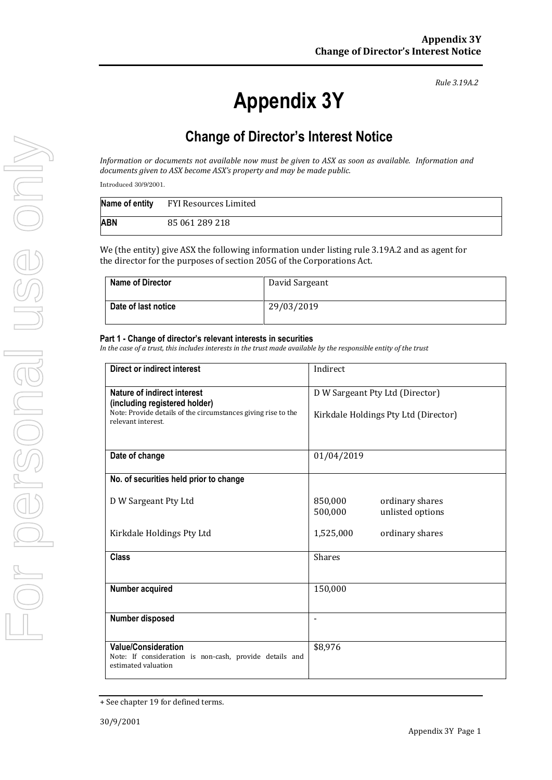*Rule 3.19A.2*

## **Change of Director's Interest Notice**

*Information or documents not available now must be given to ASX as soon as available. Information and documents given to ASX become ASX's property and may be made public.*

Introduced 30/9/2001.

|     | Name of entity FYI Resources Limited |
|-----|--------------------------------------|
| ABN | 85 061 289 218                       |

We (the entity) give ASX the following information under listing rule 3.19A.2 and as agent for the director for the purposes of section 205G of the Corporations Act.

| <b>Name of Director</b> | David Sargeant |
|-------------------------|----------------|
| Date of last notice     | 29/03/2019     |

## **Part 1 - Change of director's relevant interests in securities**

*In the case of a trust, this includes interests in the trust made available by the responsible entity of the trust*

| <b>Direct or indirect interest</b>                                                                           | Indirect                                                  |  |
|--------------------------------------------------------------------------------------------------------------|-----------------------------------------------------------|--|
| Nature of indirect interest<br>(including registered holder)                                                 | D W Sargeant Pty Ltd (Director)                           |  |
| Note: Provide details of the circumstances giving rise to the<br>relevant interest.                          | Kirkdale Holdings Pty Ltd (Director)                      |  |
| Date of change                                                                                               | 01/04/2019                                                |  |
| No. of securities held prior to change                                                                       |                                                           |  |
| D W Sargeant Pty Ltd                                                                                         | 850,000<br>ordinary shares<br>500,000<br>unlisted options |  |
| Kirkdale Holdings Pty Ltd                                                                                    | 1,525,000<br>ordinary shares                              |  |
| <b>Class</b>                                                                                                 | <b>Shares</b>                                             |  |
| Number acquired                                                                                              | 150,000                                                   |  |
| Number disposed                                                                                              | $\qquad \qquad \blacksquare$                              |  |
| <b>Value/Consideration</b><br>Note: If consideration is non-cash, provide details and<br>estimated valuation | \$8,976                                                   |  |

<sup>+</sup> See chapter 19 for defined terms.

**Appendix 3Y**